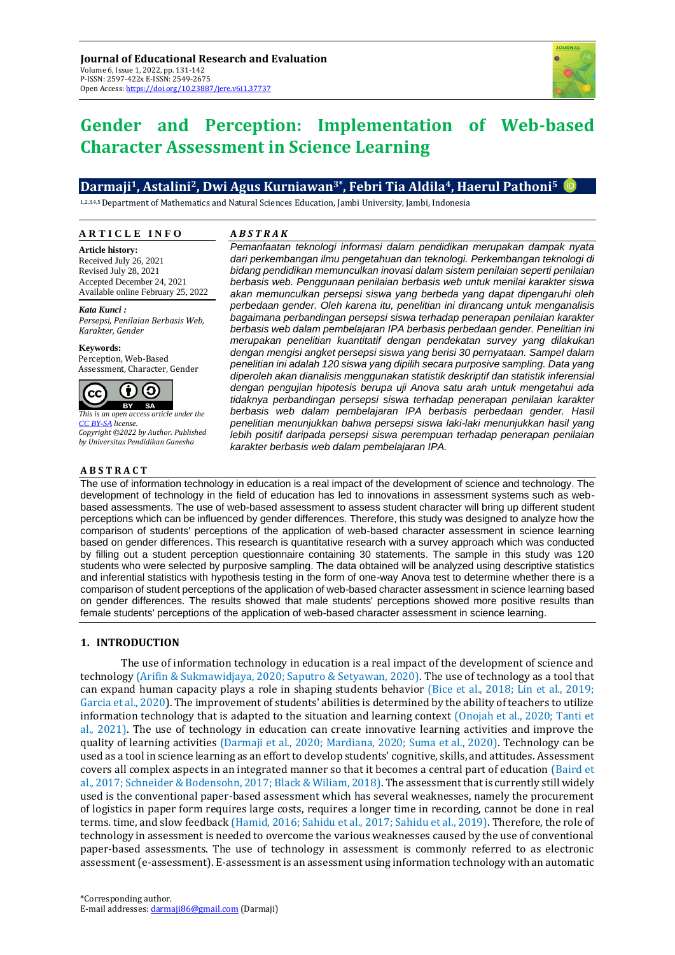

# **Gender and Perception: Implementation of Web-based Character Assessment in Science Learning**

# **Darmaji1, Astalini2, Dwi Agus Kurniawan3\*, Febri Tia Aldila4, Haerul Pathoni<sup>5</sup>**

1,2,3,4,5 Department of Mathematics and Natural Sciences Education, Jambi University, Jambi, Indonesia

#### **A R T I C L E I N F O**

**Article history:** Received July 26, 2021 Revised July 28, 2021 Accepted December 24, 2021 Available online February 25, 2022

*Kata Kunci : Persepsi, Penilaian Berbasis Web, Karakter, Gender*

**Keywords:** Perception, Web-Based Assessment, Character, Gender



*This is an open access article under the [CC BY-SA](https://creativecommons.org/licenses/by-sa/4.0/) license. Copyright ©2022 by Author. Published by Universitas Pendidikan Ganesha*

## **A B S T R A C T**

### **A** *B S T R A K*

*Pemanfaatan teknologi informasi dalam pendidikan merupakan dampak nyata dari perkembangan ilmu pengetahuan dan teknologi. Perkembangan teknologi di bidang pendidikan memunculkan inovasi dalam sistem penilaian seperti penilaian berbasis web. Penggunaan penilaian berbasis web untuk menilai karakter siswa akan memunculkan persepsi siswa yang berbeda yang dapat dipengaruhi oleh perbedaan gender. Oleh karena itu, penelitian ini dirancang untuk menganalisis bagaimana perbandingan persepsi siswa terhadap penerapan penilaian karakter berbasis web dalam pembelajaran IPA berbasis perbedaan gender. Penelitian ini merupakan penelitian kuantitatif dengan pendekatan survey yang dilakukan dengan mengisi angket persepsi siswa yang berisi 30 pernyataan. Sampel dalam penelitian ini adalah 120 siswa yang dipilih secara purposive sampling. Data yang diperoleh akan dianalisis menggunakan statistik deskriptif dan statistik inferensial dengan pengujian hipotesis berupa uji Anova satu arah untuk mengetahui ada tidaknya perbandingan persepsi siswa terhadap penerapan penilaian karakter berbasis web dalam pembelajaran IPA berbasis perbedaan gender. Hasil penelitian menunjukkan bahwa persepsi siswa laki-laki menunjukkan hasil yang lebih positif daripada persepsi siswa perempuan terhadap penerapan penilaian karakter berbasis web dalam pembelajaran IPA.*

The use of information technology in education is a real impact of the development of science and technology. The development of technology in the field of education has led to innovations in assessment systems such as webbased assessments. The use of web-based assessment to assess student character will bring up different student perceptions which can be influenced by gender differences. Therefore, this study was designed to analyze how the comparison of students' perceptions of the application of web-based character assessment in science learning based on gender differences. This research is quantitative research with a survey approach which was conducted by filling out a student perception questionnaire containing 30 statements. The sample in this study was 120 students who were selected by purposive sampling. The data obtained will be analyzed using descriptive statistics and inferential statistics with hypothesis testing in the form of one-way Anova test to determine whether there is a comparison of student perceptions of the application of web-based character assessment in science learning based on gender differences. The results showed that male students' perceptions showed more positive results than female students' perceptions of the application of web-based character assessment in science learning.

## **1. INTRODUCTION**

The use of information technology in education is a real impact of the development of science and technology (Arifin & Sukmawidjaya, 2020; Saputro & Setyawan, 2020). The use of technology as a tool that can expand human capacity plays a role in shaping students behavior (Bice et al., 2018; Lin et al., 2019; Garcia et al., 2020). The improvement of students' abilities is determined by the ability of teachers to utilize information technology that is adapted to the situation and learning context (Onojah et al., 2020; Tanti et al., 2021). The use of technology in education can create innovative learning activities and improve the quality of learning activities (Darmaji et al., 2020; Mardiana, 2020; Suma et al., 2020). Technology can be used as a tool in science learning as an effort to develop students' cognitive, skills, and attitudes. Assessment covers all complex aspects in an integrated manner so that it becomes a central part of education (Baird et al., 2017; Schneider & Bodensohn, 2017; Black & Wiliam, 2018). The assessment that is currently still widely used is the conventional paper-based assessment which has several weaknesses, namely the procurement of logistics in paper form requires large costs, requires a longer time in recording, cannot be done in real terms. time, and slow feedback (Hamid, 2016; Sahidu et al., 2017; Sahidu et al., 2019). Therefore, the role of technology in assessment is needed to overcome the various weaknesses caused by the use of conventional paper-based assessments. The use of technology in assessment is commonly referred to as electronic assessment (e-assessment). E-assessment is an assessment using information technology with an automatic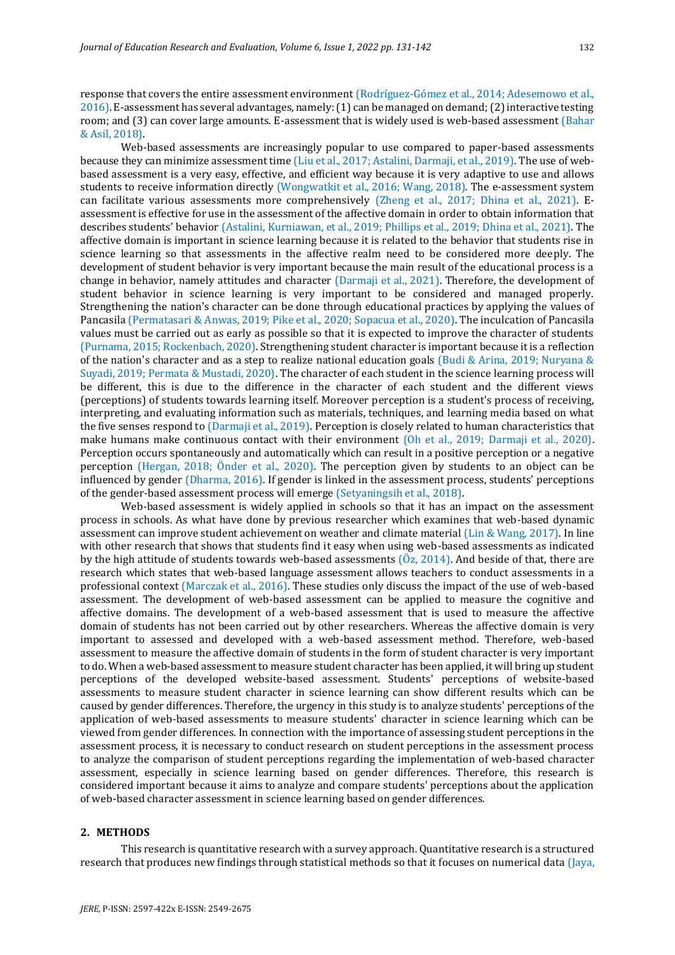response that covers the entire assessment environment (Rodríguez-Gómez et al., 2014; Adesemowo et al., 2016). E-assessment has several advantages, namely: (1) can be managed on demand; (2) interactive testing room; and (3) can cover large amounts. E-assessment that is widely used is web-based assessment (Bahar & Asil, 2018).

Web-based assessments are increasingly popular to use compared to paper-based assessments because they can minimize assessment time (Liu et al., 2017; Astalini, Darmaji, et al., 2019). The use of webbased assessment is a very easy, effective, and efficient way because it is very adaptive to use and allows students to receive information directly (Wongwatkit et al., 2016; Wang, 2018). The e-assessment system can facilitate various assessments more comprehensively (Zheng et al., 2017; Dhina et al., 2021). Eassessment is effective for use in the assessment of the affective domain in order to obtain information that describes students' behavior (Astalini, Kurniawan, et al., 2019; Phillips et al., 2019; Dhina et al., 2021). The affective domain is important in science learning because it is related to the behavior that students rise in science learning so that assessments in the affective realm need to be considered more deeply. The development of student behavior is very important because the main result of the educational process is a change in behavior, namely attitudes and character (Darmaji et al., 2021). Therefore, the development of student behavior in science learning is very important to be considered and managed properly. Strengthening the nation's character can be done through educational practices by applying the values of Pancasila (Permatasari & Anwas, 2019; Pike et al., 2020; Sopacua et al., 2020). The inculcation of Pancasila values must be carried out as early as possible so that it is expected to improve the character of students (Purnama, 2015; Rockenbach, 2020). Strengthening student character is important because it is a reflection of the nation's character and as a step to realize national education goals (Budi & Arina, 2019; Nurvana & Suyadi, 2019; Permata & Mustadi, 2020). The character of each student in the science learning process will be different, this is due to the difference in the character of each student and the different views (perceptions) of students towards learning itself. Moreover perception is a student's process of receiving, interpreting, and evaluating information such as materials, techniques, and learning media based on what the five senses respond to (Darmaji et al., 2019). Perception is closely related to human characteristics that make humans make continuous contact with their environment (Oh et al., 2019; Darmaji et al., 2020). Perception occurs spontaneously and automatically which can result in a positive perception or a negative perception (Hergan, 2018; Önder et al., 2020). The perception given by students to an object can be influenced by gender (Dharma, 2016). If gender is linked in the assessment process, students' perceptions of the gender-based assessment process will emerge (Setyaningsih et al., 2018).

Web-based assessment is widely applied in schools so that it has an impact on the assessment process in schools. As what have done by previous researcher which examines that web-based dynamic assessment can improve student achievement on weather and climate material (Lin & Wang, 2017). In line with other research that shows that students find it easy when using web-based assessments as indicated by the high attitude of students towards web-based assessments  $(0, z, 2014)$ . And beside of that, there are research which states that web-based language assessment allows teachers to conduct assessments in a professional context (Marczak et al., 2016). These studies only discuss the impact of the use of web-based assessment. The development of web-based assessment can be applied to measure the cognitive and affective domains. The development of a web-based assessment that is used to measure the affective domain of students has not been carried out by other researchers. Whereas the affective domain is very important to assessed and developed with a web-based assessment method. Therefore, web-based assessment to measure the affective domain of students in the form of student character is very important to do. When a web-based assessment to measure student character has been applied, it will bring up student perceptions of the developed website-based assessment. Students' perceptions of website-based assessments to measure student character in science learning can show different results which can be caused by gender differences. Therefore, the urgency in this study is to analyze students' perceptions of the application of web-based assessments to measure students' character in science learning which can be viewed from gender differences. In connection with the importance of assessing student perceptions in the assessment process, it is necessary to conduct research on student perceptions in the assessment process to analyze the comparison of student perceptions regarding the implementation of web-based character assessment, especially in science learning based on gender differences. Therefore, this research is considered important because it aims to analyze and compare students' perceptions about the application of web-based character assessment in science learning based on gender differences.

### **2. METHODS**

This research is quantitative research with a survey approach. Quantitative research is a structured research that produces new findings through statistical methods so that it focuses on numerical data (Jaya,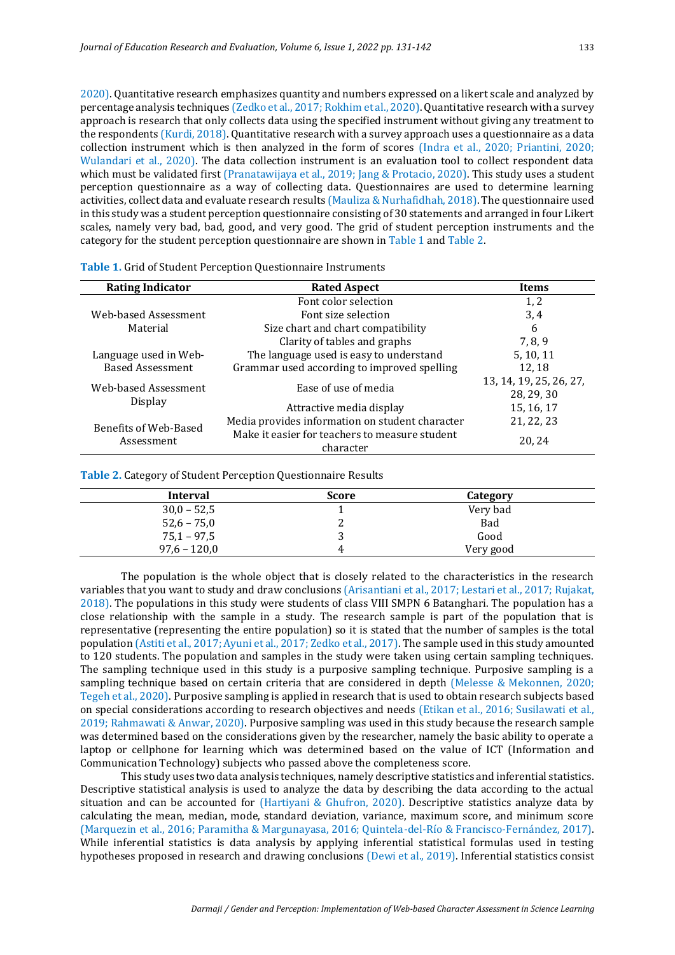2020). Quantitative research emphasizes quantity and numbers expressed on a likert scale and analyzed by percentage analysis techniques (Zedko et al., 2017; Rokhim et al., 2020). Quantitative research with a survey approach is research that only collects data using the specified instrument without giving any treatment to the respondents (Kurdi, 2018). Quantitative research with a survey approach uses a questionnaire as a data collection instrument which is then analyzed in the form of scores (Indra et al., 2020; Priantini, 2020; Wulandari et al., 2020). The data collection instrument is an evaluation tool to collect respondent data which must be validated first (Pranatawijaya et al., 2019; Jang & Protacio, 2020). This study uses a student perception questionnaire as a way of collecting data. Questionnaires are used to determine learning activities, collect data and evaluate research results (Mauliza & Nurhafidhah, 2018). The questionnaire used in this study was a student perception questionnaire consisting of 30 statements and arranged in four Likert scales, namely very bad, bad, good, and very good. The grid of student perception instruments and the category for the student perception questionnaire are shown in Table 1 and Table 2.

| <b>Rating Indicator</b>      | <b>Rated Aspect</b>                                         |                         |
|------------------------------|-------------------------------------------------------------|-------------------------|
|                              | Font color selection                                        | 1, 2                    |
| Web-based Assessment         | Font size selection                                         | 3, 4                    |
| Material                     | Size chart and chart compatibility                          | 6                       |
|                              | Clarity of tables and graphs                                | 7, 8, 9                 |
| Language used in Web-        | The language used is easy to understand                     | 5, 10, 11               |
| <b>Based Assessment</b>      | Grammar used according to improved spelling                 | 12, 18                  |
| Web-based Assessment         | Ease of use of media                                        | 13, 14, 19, 25, 26, 27, |
|                              |                                                             | 28, 29, 30              |
| <b>Display</b>               | Attractive media display                                    | 15, 16, 17              |
| <b>Benefits of Web-Based</b> | Media provides information on student character             | 21, 22, 23              |
| Assessment                   | Make it easier for teachers to measure student<br>character | 20, 24                  |

**Table 1.** Grid of Student Perception Questionnaire Instruments

**Table 2.** Category of Student Perception Questionnaire Results

| Interval       | <b>Score</b> | Category  |  |
|----------------|--------------|-----------|--|
| $30,0 - 52,5$  |              | Very bad  |  |
| $52,6 - 75,0$  |              | Bad       |  |
| $75,1 - 97,5$  |              | Good      |  |
| $97,6 - 120,0$ | 4            | Very good |  |

The population is the whole object that is closely related to the characteristics in the research variables that you want to study and draw conclusions (Arisantiani et al., 2017; Lestari et al., 2017; Rujakat, 2018). The populations in this study were students of class VIII SMPN 6 Batanghari. The population has a close relationship with the sample in a study. The research sample is part of the population that is representative (representing the entire population) so it is stated that the number of samples is the total population (Astiti et al., 2017; Ayuni et al., 2017; Zedko et al., 2017). The sample used in this study amounted to 120 students. The population and samples in the study were taken using certain sampling techniques. The sampling technique used in this study is a purposive sampling technique. Purposive sampling is a sampling technique based on certain criteria that are considered in depth (Melesse & Mekonnen, 2020; Tegeh et al., 2020). Purposive sampling is applied in research that is used to obtain research subjects based on special considerations according to research objectives and needs (Etikan et al., 2016; Susilawati et al., 2019; Rahmawati & Anwar, 2020). Purposive sampling was used in this study because the research sample was determined based on the considerations given by the researcher, namely the basic ability to operate a laptop or cellphone for learning which was determined based on the value of ICT (Information and Communication Technology) subjects who passed above the completeness score.

This study uses two data analysis techniques, namely descriptive statistics and inferential statistics. Descriptive statistical analysis is used to analyze the data by describing the data according to the actual situation and can be accounted for (Hartiyani & Ghufron, 2020). Descriptive statistics analyze data by calculating the mean, median, mode, standard deviation, variance, maximum score, and minimum score (Marquezin et al., 2016; Paramitha & Margunayasa, 2016; Quintela-del-Río & Francisco-Fernández, 2017). While inferential statistics is data analysis by applying inferential statistical formulas used in testing hypotheses proposed in research and drawing conclusions (Dewi et al., 2019). Inferential statistics consist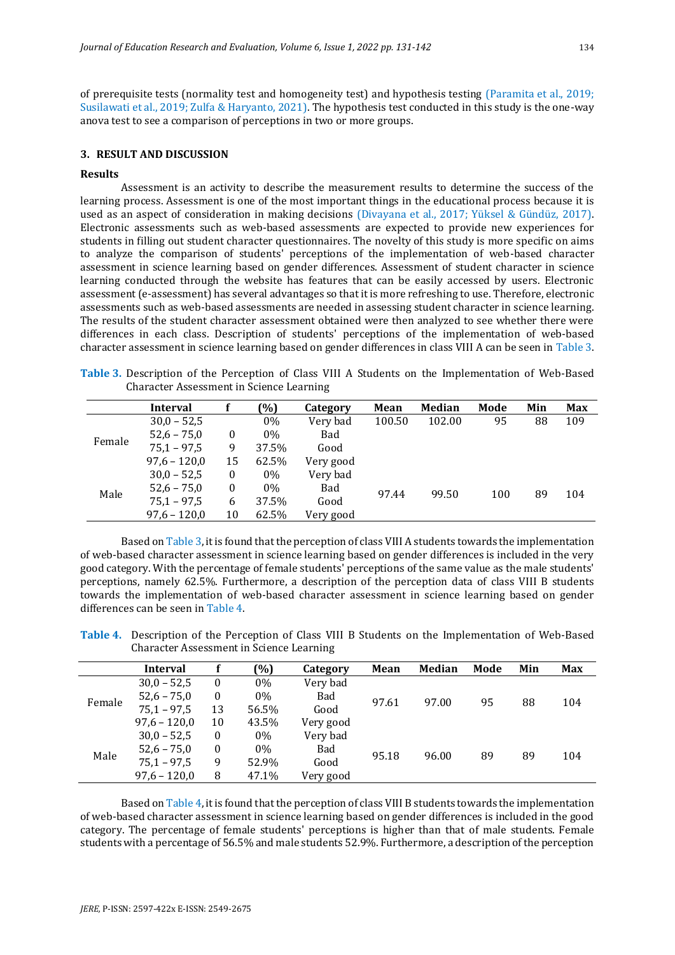of prerequisite tests (normality test and homogeneity test) and hypothesis testing (Paramita et al., 2019; Susilawati et al., 2019; Zulfa & Haryanto, 2021). The hypothesis test conducted in this study is the one-way anova test to see a comparison of perceptions in two or more groups.

#### **3. RESULT AND DISCUSSION**

#### **Results**

Assessment is an activity to describe the measurement results to determine the success of the learning process. Assessment is one of the most important things in the educational process because it is used as an aspect of consideration in making decisions (Divayana et al., 2017; Yüksel & Gündüz, 2017). Electronic assessments such as web-based assessments are expected to provide new experiences for students in filling out student character questionnaires. The novelty of this study is more specific on aims to analyze the comparison of students' perceptions of the implementation of web-based character assessment in science learning based on gender differences. Assessment of student character in science learning conducted through the website has features that can be easily accessed by users. Electronic assessment (e-assessment) has several advantages so that it is more refreshing to use. Therefore, electronic assessments such as web-based assessments are needed in assessing student character in science learning. The results of the student character assessment obtained were then analyzed to see whether there were differences in each class. Description of students' perceptions of the implementation of web-based character assessment in science learning based on gender differences in class VIII A can be seen in Table 3.

**Table 3.** Description of the Perception of Class VIII A Students on the Implementation of Web-Based Character Assessment in Science Learning

|        | Interval       |          | (%)   | Category  | Mean   | Median | Mode | Min | <b>Max</b> |
|--------|----------------|----------|-------|-----------|--------|--------|------|-----|------------|
|        | $30,0 - 52,5$  |          | 0%    | Very bad  | 100.50 | 102.00 | 95   | 88  | 109        |
| Female | $52,6 - 75,0$  | $\bf{0}$ | 0%    | Bad       |        |        |      |     |            |
|        | $75,1 - 97,5$  | 9        | 37.5% | Good      |        |        |      |     |            |
|        | $97.6 - 120.0$ | 15       | 62.5% | Very good |        |        |      |     |            |
|        | $30.0 - 52.5$  | $\bf{0}$ | 0%    | Very bad  |        |        |      |     |            |
| Male   | $52,6 - 75,0$  | $\theta$ | 0%    | Bad       | 97.44  | 99.50  | 100  | 89  | 104        |
|        | $75,1 - 97,5$  | 6        | 37.5% | Good      |        |        |      |     |            |
|        | $97.6 - 120.0$ | 10       | 62.5% | Very good |        |        |      |     |            |

Based on Table 3, it is found that the perception of class VIII A students towards the implementation of web-based character assessment in science learning based on gender differences is included in the very good category. With the percentage of female students' perceptions of the same value as the male students' perceptions, namely 62.5%. Furthermore, a description of the perception data of class VIII B students towards the implementation of web-based character assessment in science learning based on gender differences can be seen in Table 4.

**Table 4.** Description of the Perception of Class VIII B Students on the Implementation of Web-Based Character Assessment in Science Learning

|        | <b>Interval</b>                                                                                                      |       | (%)   | Category   | Mean  | Median | Mode | Min | Max |
|--------|----------------------------------------------------------------------------------------------------------------------|-------|-------|------------|-------|--------|------|-----|-----|
|        | Very bad<br>$30,0 - 52,5$<br>$0\%$<br>$\boldsymbol{0}$<br>$52,6 - 75,0$<br>$0\%$<br>Bad<br>$\boldsymbol{0}$<br>97.61 |       |       | 88         |       |        |      |     |     |
| Female |                                                                                                                      | 97.00 | 95    |            | 104   |        |      |     |     |
|        | $75,1 - 97,5$                                                                                                        | 13    | 56.5% | Good       |       |        |      |     |     |
|        | $97,6 - 120,0$                                                                                                       | 10    | 43.5% | Very good  |       |        |      |     |     |
|        | $30,0 - 52,5$                                                                                                        | 0     | $0\%$ | Very bad   |       |        |      |     |     |
| Male   | $52,6 - 75,0$                                                                                                        | 0     | $0\%$ | <b>Bad</b> | 95.18 | 96.00  | 89   | 89  | 104 |
|        | $75,1 - 97,5$                                                                                                        | 9     | 52.9% | Good       |       |        |      |     |     |
|        | $97,6 - 120,0$                                                                                                       | 8     | 47.1% | Very good  |       |        |      |     |     |

Based on Table 4, it is found that the perception of class VIII B students towards the implementation of web-based character assessment in science learning based on gender differences is included in the good category. The percentage of female students' perceptions is higher than that of male students. Female students with a percentage of 56.5% and male students 52.9%. Furthermore, a description of the perception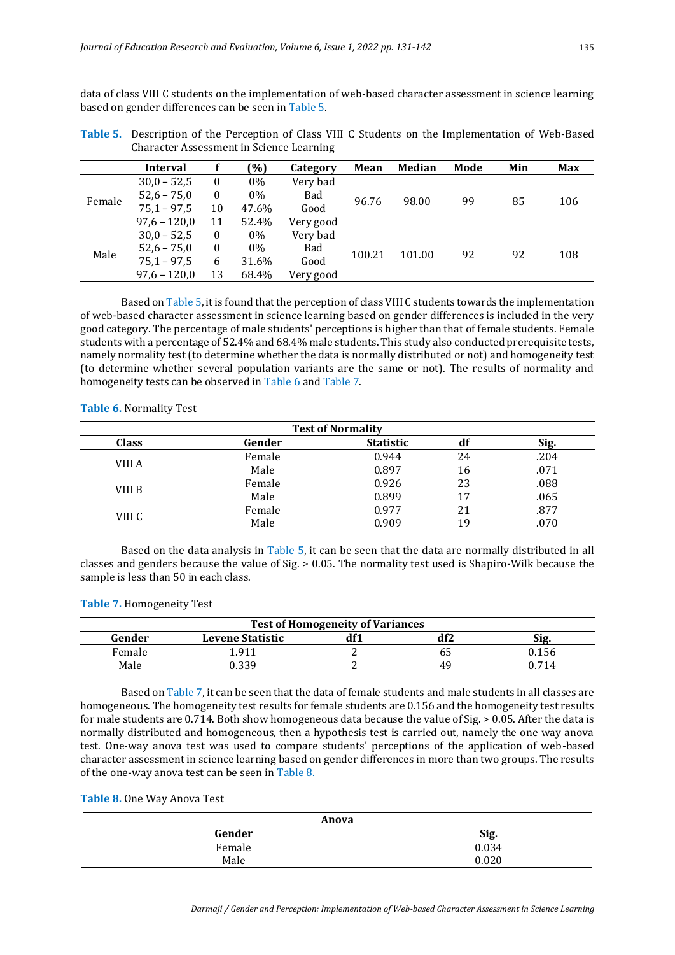data of class VIII C students on the implementation of web-based character assessment in science learning based on gender differences can be seen in Table 5.

|        | <b>Interval</b> |                              | (%)   | Category   | <b>Mean</b> | Median | Mode | Min | Max |
|--------|-----------------|------------------------------|-------|------------|-------------|--------|------|-----|-----|
| Female | $30,0 - 52,5$   | $\bf{0}$                     | 0%    | Very bad   |             |        | 99   | 85  |     |
|        | $52,6 - 75,0$   | $\bf{0}$                     | 0%    | <b>Bad</b> | 96.76       |        |      |     | 106 |
|        | $75,1 - 97,5$   | 98.00<br>10<br>47.6%<br>Good |       |            |             |        |      |     |     |
|        | $97,6 - 120,0$  | 11                           | 52.4% | Very good  |             |        |      |     |     |
|        | $30,0 - 52,5$   | $\mathbf{0}$                 | 0%    | Very bad   |             |        |      |     |     |
| Male   | $52,6 - 75,0$   | $\bf{0}$                     | 0%    | Bad        | 100.21      | 101.00 | 92   | 92  | 108 |
|        | $75,1 - 97,5$   | 6                            | 31.6% | Good       |             |        |      |     |     |
|        | $97,6 - 120,0$  | 13                           | 68.4% | Very good  |             |        |      |     |     |

**Table 5.** Description of the Perception of Class VIII C Students on the Implementation of Web-Based Character Assessment in Science Learning

Based on Table 5, it is found that the perception of class VIII C students towards the implementation of web-based character assessment in science learning based on gender differences is included in the very good category. The percentage of male students' perceptions is higher than that of female students. Female students with a percentage of 52.4% and 68.4% male students. This study also conducted prerequisite tests, namely normality test (to determine whether the data is normally distributed or not) and homogeneity test (to determine whether several population variants are the same or not). The results of normality and homogeneity tests can be observed in Table 6 and Table 7.

**Table 6.** Normality Test

| <b>Test of Normality</b> |        |                  |    |      |  |  |  |
|--------------------------|--------|------------------|----|------|--|--|--|
| <b>Class</b>             | Gender | <b>Statistic</b> | di | Sig. |  |  |  |
|                          | Female | 0.944            | 24 | .204 |  |  |  |
| VIII A                   | Male   | 0.897            | 16 | .071 |  |  |  |
| VIII B                   | Female | 0.926            | 23 | .088 |  |  |  |
|                          | Male   | 0.899            | 17 | .065 |  |  |  |
| VIII C                   | Female | 0.977            | 21 | .877 |  |  |  |
|                          | Male   | 0.909            | 19 | .070 |  |  |  |

Based on the data analysis in Table 5, it can be seen that the data are normally distributed in all classes and genders because the value of Sig. > 0.05. The normality test used is Shapiro-Wilk because the sample is less than 50 in each class.

|  | Table 7. Homogeneity Test |  |
|--|---------------------------|--|
|--|---------------------------|--|

| <b>Test of Homogeneity of Variances</b> |                         |     |     |       |  |  |  |
|-----------------------------------------|-------------------------|-----|-----|-------|--|--|--|
| Gender                                  | <b>Levene Statistic</b> | df1 | df2 | Sig.  |  |  |  |
| Female                                  | 1.911                   |     | כס  | 0.156 |  |  |  |
| Male                                    | 1.339                   |     | 49  | 0.714 |  |  |  |

Based on Table 7, it can be seen that the data of female students and male students in all classes are homogeneous. The homogeneity test results for female students are 0.156 and the homogeneity test results for male students are 0.714. Both show homogeneous data because the value of Sig. > 0.05. After the data is normally distributed and homogeneous, then a hypothesis test is carried out, namely the one way anova test. One-way anova test was used to compare students' perceptions of the application of web-based character assessment in science learning based on gender differences in more than two groups. The results of the one-way anova test can be seen in Table 8.

# **Table 8.** One Way Anova Test

| Anova  |       |  |  |  |  |
|--------|-------|--|--|--|--|
| Gender | Sig.  |  |  |  |  |
| Female | 0.034 |  |  |  |  |
| Male   | 0.020 |  |  |  |  |
|        |       |  |  |  |  |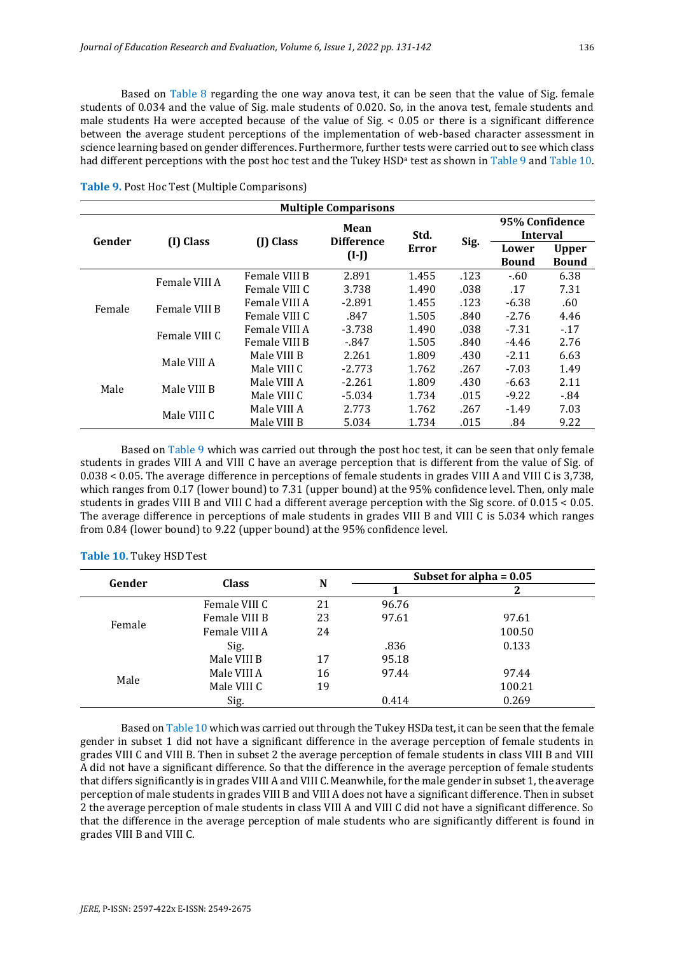Based on Table 8 regarding the one way anova test, it can be seen that the value of Sig. female students of 0.034 and the value of Sig. male students of 0.020. So, in the anova test, female students and male students Ha were accepted because of the value of  $\text{Sig.}$  < 0.05 or there is a significant difference between the average student perceptions of the implementation of web-based character assessment in science learning based on gender differences. Furthermore, further tests were carried out to see which class had different perceptions with the post hoc test and the Tukey HSD<sup>a</sup> test as shown in Table 9 and Table 10.

| <b>Multiple Comparisons</b> |               |               |                           |       |      |                                   |                              |
|-----------------------------|---------------|---------------|---------------------------|-------|------|-----------------------------------|------------------------------|
| Gender                      |               |               | Mean<br><b>Difference</b> | Std.  |      | 95% Confidence<br><b>Interval</b> |                              |
|                             | (I) Class     | (J) Class     | $(I-I)$                   | Error | Sig. | Lower<br><b>Bound</b>             | <b>Upper</b><br><b>Bound</b> |
|                             | Female VIII A | Female VIII B | 2.891                     | 1.455 | .123 | $-60$                             | 6.38                         |
|                             |               | Female VIII C | 3.738                     | 1.490 | .038 | .17                               | 7.31                         |
| Female                      | Female VIII B | Female VIII A | $-2.891$                  | 1.455 | .123 | $-6.38$                           | .60                          |
|                             |               | Female VIII C | .847                      | 1.505 | .840 | $-2.76$                           | 4.46                         |
|                             | Female VIII C | Female VIII A | $-3.738$                  | 1.490 | .038 | $-7.31$                           | $-17$                        |
|                             |               | Female VIII B | $-847$                    | 1.505 | .840 | $-4.46$                           | 2.76                         |
|                             | Male VIII A   | Male VIII B   | 2.261                     | 1.809 | .430 | $-2.11$                           | 6.63                         |
|                             |               | Male VIII C   | $-2.773$                  | 1.762 | .267 | $-7.03$                           | 1.49                         |
| Male                        | Male VIII B   | Male VIII A   | $-2.261$                  | 1.809 | .430 | $-6.63$                           | 2.11                         |
|                             |               | Male VIII C   | $-5.034$                  | 1.734 | .015 | $-9.22$                           | $-84$                        |
|                             | Male VIII C   | Male VIII A   | 2.773                     | 1.762 | .267 | $-1.49$                           | 7.03                         |
|                             |               | Male VIII B   | 5.034                     | 1.734 | .015 | .84                               | 9.22                         |

**Table 9.** Post Hoc Test (Multiple Comparisons)

Based on Table 9 which was carried out through the post hoc test, it can be seen that only female students in grades VIII A and VIII C have an average perception that is different from the value of Sig. of 0.038 < 0.05. The average difference in perceptions of female students in grades VIII A and VIII C is 3,738, which ranges from 0.17 (lower bound) to 7.31 (upper bound) at the 95% confidence level. Then, only male students in grades VIII B and VIII C had a different average perception with the Sig score. of 0.015 < 0.05. The average difference in perceptions of male students in grades VIII B and VIII C is 5.034 which ranges from 0.84 (lower bound) to 9.22 (upper bound) at the 95% confidence level.

| Gender | <b>Class</b>  | N  | Subset for alpha $= 0.05$ |        |  |  |
|--------|---------------|----|---------------------------|--------|--|--|
|        |               |    |                           |        |  |  |
|        | Female VIII C | 21 | 96.76                     |        |  |  |
| Female | Female VIII B | 23 | 97.61                     | 97.61  |  |  |
|        | Female VIII A | 24 |                           | 100.50 |  |  |
|        | Sig.          |    | .836                      | 0.133  |  |  |
|        | Male VIII B   | 17 | 95.18                     |        |  |  |
| Male   | Male VIII A   | 16 | 97.44                     | 97.44  |  |  |
|        | Male VIII C   | 19 |                           | 100.21 |  |  |
|        | Sig.          |    | 0.414                     | 0.269  |  |  |

#### **Table 10.** Tukey HSDTest

Based on Table 10 which was carried out through the Tukey HSDa test, it can be seen that the female gender in subset 1 did not have a significant difference in the average perception of female students in grades VIII C and VIII B. Then in subset 2 the average perception of female students in class VIII B and VIII A did not have a significant difference. So that the difference in the average perception of female students that differs significantly is in grades VIII A and VIII C. Meanwhile, for the male gender in subset 1, the average perception of male students in grades VIII B and VIII A does not have a significant difference. Then in subset 2 the average perception of male students in class VIII A and VIII C did not have a significant difference. So that the difference in the average perception of male students who are significantly different is found in grades VIII B and VIII C.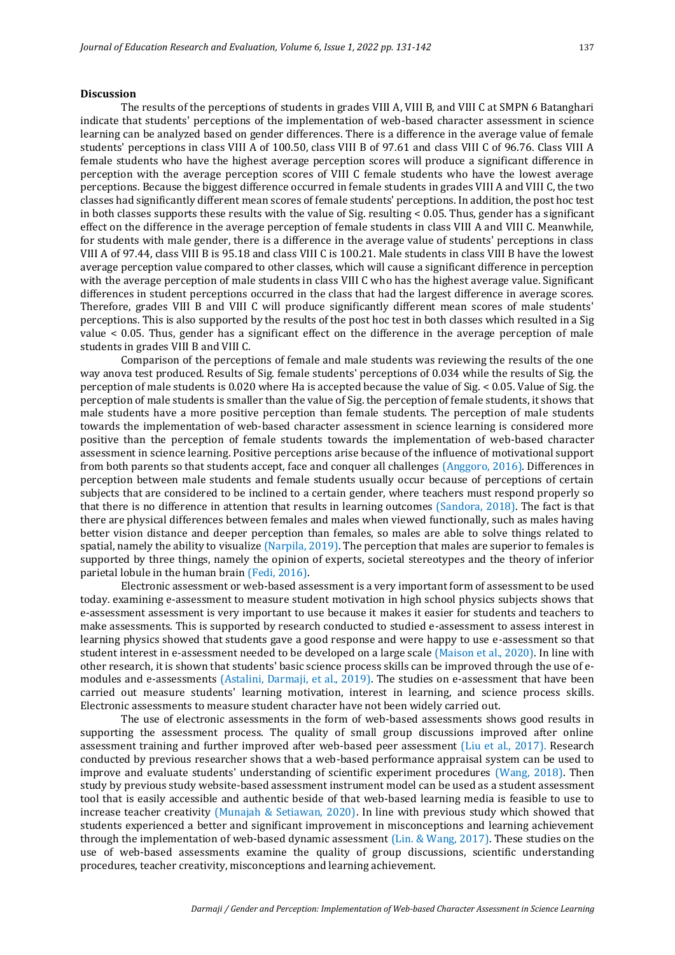#### **Discussion**

The results of the perceptions of students in grades VIII A, VIII B, and VIII C at SMPN 6 Batanghari indicate that students' perceptions of the implementation of web-based character assessment in science learning can be analyzed based on gender differences. There is a difference in the average value of female students' perceptions in class VIII A of 100.50, class VIII B of 97.61 and class VIII C of 96.76. Class VIII A female students who have the highest average perception scores will produce a significant difference in perception with the average perception scores of VIII C female students who have the lowest average perceptions. Because the biggest difference occurred in female students in grades VIII A and VIII C, the two classes had significantly different mean scores of female students' perceptions. In addition, the post hoc test in both classes supports these results with the value of Sig. resulting < 0.05. Thus, gender has a significant effect on the difference in the average perception of female students in class VIII A and VIII C. Meanwhile, for students with male gender, there is a difference in the average value of students' perceptions in class VIII A of 97.44, class VIII B is 95.18 and class VIII C is 100.21. Male students in class VIII B have the lowest average perception value compared to other classes, which will cause a significant difference in perception with the average perception of male students in class VIII C who has the highest average value. Significant differences in student perceptions occurred in the class that had the largest difference in average scores. Therefore, grades VIII B and VIII C will produce significantly different mean scores of male students' perceptions. This is also supported by the results of the post hoc test in both classes which resulted in a Sig value < 0.05. Thus, gender has a significant effect on the difference in the average perception of male students in grades VIII B and VIII C.

Comparison of the perceptions of female and male students was reviewing the results of the one way anova test produced. Results of Sig. female students' perceptions of 0.034 while the results of Sig. the perception of male students is 0.020 where Ha is accepted because the value of Sig. < 0.05. Value of Sig. the perception of male students is smaller than the value of Sig. the perception of female students, it shows that male students have a more positive perception than female students. The perception of male students towards the implementation of web-based character assessment in science learning is considered more positive than the perception of female students towards the implementation of web-based character assessment in science learning. Positive perceptions arise because of the influence of motivational support from both parents so that students accept, face and conquer all challenges (Anggoro, 2016). Differences in perception between male students and female students usually occur because of perceptions of certain subjects that are considered to be inclined to a certain gender, where teachers must respond properly so that there is no difference in attention that results in learning outcomes (Sandora, 2018). The fact is that there are physical differences between females and males when viewed functionally, such as males having better vision distance and deeper perception than females, so males are able to solve things related to spatial, namely the ability to visualize (Narpila, 2019). The perception that males are superior to females is supported by three things, namely the opinion of experts, societal stereotypes and the theory of inferior parietal lobule in the human brain (Fedi, 2016).

Electronic assessment or web-based assessment is a very important form of assessment to be used today. examining e-assessment to measure student motivation in high school physics subjects shows that e-assessment assessment is very important to use because it makes it easier for students and teachers to make assessments. This is supported by research conducted to studied e-assessment to assess interest in learning physics showed that students gave a good response and were happy to use e-assessment so that student interest in e-assessment needed to be developed on a large scale (Maison et al., 2020). In line with other research, it is shown that students' basic science process skills can be improved through the use of emodules and e-assessments (Astalini, Darmaji, et al., 2019). The studies on e-assessment that have been carried out measure students' learning motivation, interest in learning, and science process skills. Electronic assessments to measure student character have not been widely carried out.

The use of electronic assessments in the form of web-based assessments shows good results in supporting the assessment process. The quality of small group discussions improved after online assessment training and further improved after web-based peer assessment (Liu et al., 2017). Research conducted by previous researcher shows that a web-based performance appraisal system can be used to improve and evaluate students' understanding of scientific experiment procedures (Wang, 2018). Then study by previous study website-based assessment instrument model can be used as a student assessment tool that is easily accessible and authentic beside of that web-based learning media is feasible to use to increase teacher creativity (Munajah & Setiawan, 2020). In line with previous study which showed that students experienced a better and significant improvement in misconceptions and learning achievement through the implementation of web-based dynamic assessment (Lin. & Wang, 2017). These studies on the use of web-based assessments examine the quality of group discussions, scientific understanding procedures, teacher creativity, misconceptions and learning achievement.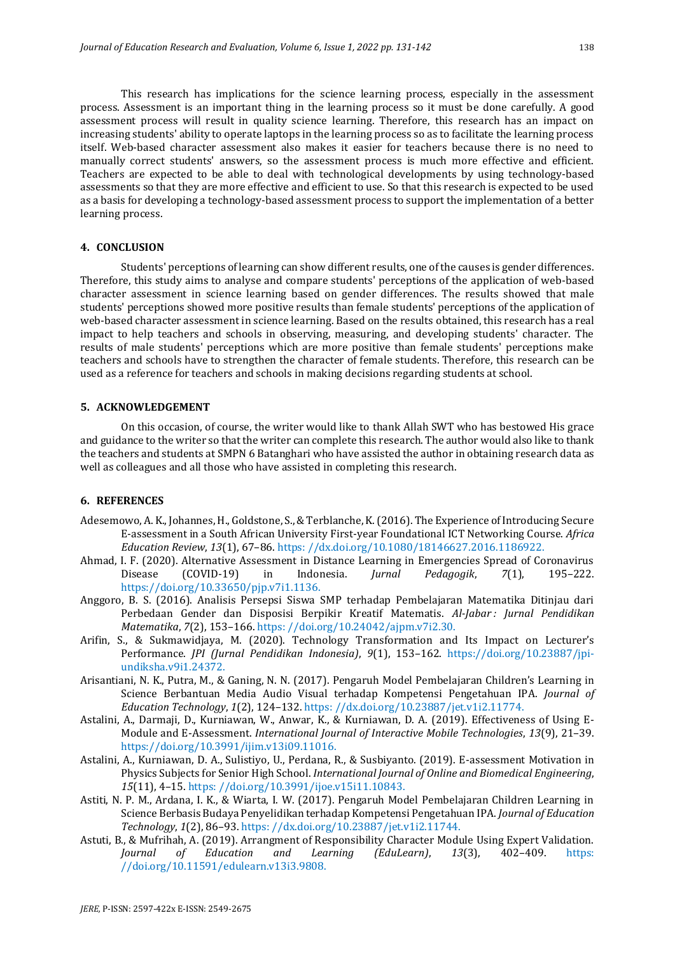This research has implications for the science learning process, especially in the assessment process. Assessment is an important thing in the learning process so it must be done carefully. A good assessment process will result in quality science learning. Therefore, this research has an impact on increasing students' ability to operate laptops in the learning process so as to facilitate the learning process itself. Web-based character assessment also makes it easier for teachers because there is no need to manually correct students' answers, so the assessment process is much more effective and efficient. Teachers are expected to be able to deal with technological developments by using technology-based assessments so that they are more effective and efficient to use. So that this research is expected to be used as a basis for developing a technology-based assessment process to support the implementation of a better learning process.

#### **4. CONCLUSION**

Students' perceptions of learning can show different results, one of the causes is gender differences. Therefore, this study aims to analyse and compare students' perceptions of the application of web-based character assessment in science learning based on gender differences. The results showed that male students' perceptions showed more positive results than female students' perceptions of the application of web-based character assessment in science learning. Based on the results obtained, this research has a real impact to help teachers and schools in observing, measuring, and developing students' character. The results of male students' perceptions which are more positive than female students' perceptions make teachers and schools have to strengthen the character of female students. Therefore, this research can be used as a reference for teachers and schools in making decisions regarding students at school.

#### **5. ACKNOWLEDGEMENT**

On this occasion, of course, the writer would like to thank Allah SWT who has bestowed His grace and guidance to the writer so that the writer can complete this research. The author would also like to thank the teachers and students at SMPN 6 Batanghari who have assisted the author in obtaining research data as well as colleagues and all those who have assisted in completing this research.

#### **6. REFERENCES**

- Adesemowo, A. K., Johannes, H., Goldstone, S., & Terblanche, K. (2016). The Experience of Introducing Secure E-assessment in a South African University First-year Foundational ICT Networking Course. *Africa Education Review*, *13*(1), 67–86. https: //dx.doi.org/10.1080/18146627.2016.1186922.
- Ahmad, I. F. (2020). Alternative Assessment in Distance Learning in Emergencies Spread of Coronavirus Disease (COVID-19) in Indonesia. *Jurnal Pedagogik*, *7*(1), 195–222. https://doi.org/10.33650/pjp.v7i1.1136.
- Anggoro, B. S. (2016). Analisis Persepsi Siswa SMP terhadap Pembelajaran Matematika Ditinjau dari Perbedaan Gender dan Disposisi Berpikir Kreatif Matematis. *Al-Jabar : Jurnal Pendidikan Matematika*, *7*(2), 153–166. https: //doi.org/10.24042/ajpm.v7i2.30.
- Arifin, S., & Sukmawidjaya, M. (2020). Technology Transformation and Its Impact on Lecturer's Performance. *JPI (Jurnal Pendidikan Indonesia)*, *9*(1), 153–162. https://doi.org/10.23887/jpiundiksha.v9i1.24372.
- Arisantiani, N. K., Putra, M., & Ganing, N. N. (2017). Pengaruh Model Pembelajaran Children's Learning in Science Berbantuan Media Audio Visual terhadap Kompetensi Pengetahuan IPA. *Journal of Education Technology*, *1*(2), 124–132. https: //dx.doi.org/10.23887/jet.v1i2.11774.
- Astalini, A., Darmaji, D., Kurniawan, W., Anwar, K., & Kurniawan, D. A. (2019). Effectiveness of Using E-Module and E-Assessment. *International Journal of Interactive Mobile Technologies*, *13*(9), 21–39. https://doi.org/10.3991/ijim.v13i09.11016.
- Astalini, A., Kurniawan, D. A., Sulistiyo, U., Perdana, R., & Susbiyanto. (2019). E-assessment Motivation in Physics Subjects for Senior High School. *International Journal of Online and Biomedical Engineering*, *15*(11), 4–15. https: //doi.org/10.3991/ijoe.v15i11.10843.
- Astiti, N. P. M., Ardana, I. K., & Wiarta, I. W. (2017). Pengaruh Model Pembelajaran Children Learning in Science Berbasis Budaya Penyelidikan terhadap Kompetensi Pengetahuan IPA. *Journal of Education Technology*, *1*(2), 86–93. https: //dx.doi.org/10.23887/jet.v1i2.11744.
- Astuti, B., & Mufrihah, A. (2019). Arrangment of Responsibility Character Module Using Expert Validation. *Journal of Education and Learning (EduLearn)*, *13*(3), 402–409. https: //doi.org/10.11591/edulearn.v13i3.9808.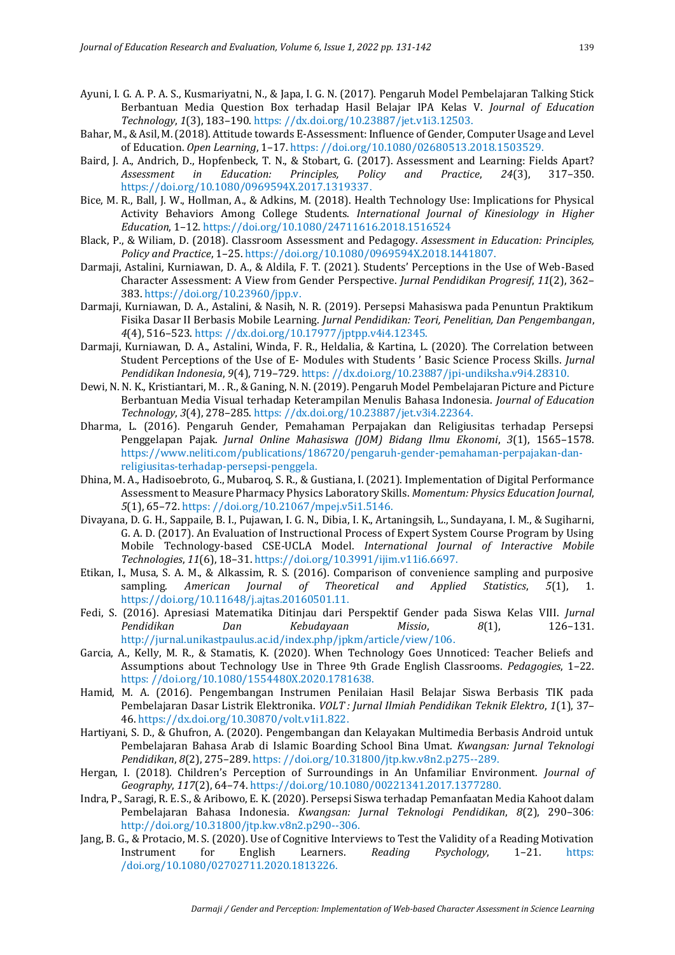- Ayuni, I. G. A. P. A. S., Kusmariyatni, N., & Japa, I. G. N. (2017). Pengaruh Model Pembelajaran Talking Stick Berbantuan Media Question Box terhadap Hasil Belajar IPA Kelas V. *Journal of Education Technology*, *1*(3), 183–190. https: //dx.doi.org/10.23887/jet.v1i3.12503.
- Bahar, M., & Asil, M. (2018). Attitude towards E-Assessment: Influence of Gender, Computer Usage and Level of Education. *Open Learning*, 1–17. https: //doi.org/10.1080/02680513.2018.1503529.
- Baird, J. A., Andrich, D., Hopfenbeck, T. N., & Stobart, G. (2017). Assessment and Learning: Fields Apart? *Assessment in Education: Principles, Policy and Practice*, *24*(3), 317–350. https://doi.org/10.1080/0969594X.2017.1319337.
- Bice, M. R., Ball, J. W., Hollman, A., & Adkins, M. (2018). Health Technology Use: Implications for Physical Activity Behaviors Among College Students. *International Journal of Kinesiology in Higher Education*, 1–12. https://doi.org/10.1080/24711616.2018.1516524
- Black, P., & Wiliam, D. (2018). Classroom Assessment and Pedagogy. *Assessment in Education: Principles, Policy and Practice*, 1–25. https://doi.org/10.1080/0969594X.2018.1441807.
- Darmaji, Astalini, Kurniawan, D. A., & Aldila, F. T. (2021). Students' Perceptions in the Use of Web-Based Character Assessment: A View from Gender Perspective. *Jurnal Pendidikan Progresif*, *11*(2), 362– 383. https://doi.org/10.23960/jpp.v.
- Darmaji, Kurniawan, D. A., Astalini, & Nasih, N. R. (2019). Persepsi Mahasiswa pada Penuntun Praktikum Fisika Dasar II Berbasis Mobile Learning. *Jurnal Pendidikan: Teori, Penelitian, Dan Pengembangan*, *4*(4), 516–523. https: //dx.doi.org/10.17977/jptpp.v4i4.12345.
- Darmaji, Kurniawan, D. A., Astalini, Winda, F. R., Heldalia, & Kartina, L. (2020). The Correlation between Student Perceptions of the Use of E- Modules with Students ' Basic Science Process Skills. *Jurnal Pendidikan Indonesia*, *9*(4), 719–729. https: //dx.doi.org/10.23887/jpi-undiksha.v9i4.28310.
- Dewi, N. N. K., Kristiantari, M. . R., & Ganing, N. N. (2019). Pengaruh Model Pembelajaran Picture and Picture Berbantuan Media Visual terhadap Keterampilan Menulis Bahasa Indonesia. *Journal of Education Technology*, *3*(4), 278–285. https: //dx.doi.org/10.23887/jet.v3i4.22364.
- Dharma, L. (2016). Pengaruh Gender, Pemahaman Perpajakan dan Religiusitas terhadap Persepsi Penggelapan Pajak. *Jurnal Online Mahasiswa (JOM) Bidang Ilmu Ekonomi*, *3*(1), 1565–1578. https://www.neliti.com/publications/186720/pengaruh-gender-pemahaman-perpajakan-danreligiusitas-terhadap-persepsi-penggela.
- Dhina, M. A., Hadisoebroto, G., Mubaroq, S. R., & Gustiana, I. (2021). Implementation of Digital Performance Assessment to Measure Pharmacy Physics Laboratory Skills. *Momentum: Physics Education Journal*, *5*(1), 65–72. https: //doi.org/10.21067/mpej.v5i1.5146.
- Divayana, D. G. H., Sappaile, B. I., Pujawan, I. G. N., Dibia, I. K., Artaningsih, L., Sundayana, I. M., & Sugiharni, G. A. D. (2017). An Evaluation of Instructional Process of Expert System Course Program by Using Mobile Technology-based CSE-UCLA Model. *International Journal of Interactive Mobile Technologies*, *11*(6), 18–31. https://doi.org/10.3991/ijim.v11i6.6697.
- Etikan, I., Musa, S. A. M., & Alkassim, R. S. (2016). Comparison of convenience sampling and purposive sampling. *American Journal of Theoretical and Applied Statistics*, *5*(1), 1. https://doi.org/10.11648/j.ajtas.20160501.11.
- Fedi, S. (2016). Apresiasi Matematika Ditinjau dari Perspektif Gender pada Siswa Kelas VIII. *Jurnal Pendidikan Dan Kebudayaan Missio*, *8*(1), 126–131. http://jurnal.unikastpaulus.ac.id/index.php/jpkm/article/view/106.
- Garcia, A., Kelly, M. R., & Stamatis, K. (2020). When Technology Goes Unnoticed: Teacher Beliefs and Assumptions about Technology Use in Three 9th Grade English Classrooms. *Pedagogies*, 1–22. https: //doi.org/10.1080/1554480X.2020.1781638.
- Hamid, M. A. (2016). Pengembangan Instrumen Penilaian Hasil Belajar Siswa Berbasis TIK pada Pembelajaran Dasar Listrik Elektronika. *VOLT : Jurnal Ilmiah Pendidikan Teknik Elektro*, *1*(1), 37– 46. https://dx.doi.org/10.30870/volt.v1i1.822.
- Hartiyani, S. D., & Ghufron, A. (2020). Pengembangan dan Kelayakan Multimedia Berbasis Android untuk Pembelajaran Bahasa Arab di Islamic Boarding School Bina Umat. *Kwangsan: Jurnal Teknologi Pendidikan*, *8*(2), 275–289. https: //doi.org/10.31800/jtp.kw.v8n2.p275--289.
- Hergan, I. (2018). Children's Perception of Surroundings in An Unfamiliar Environment. *Journal of Geography*, *117*(2), 64–74. https://doi.org/10.1080/00221341.2017.1377280.
- Indra, P., Saragi, R. E. S., & Aribowo, E. K. (2020). Persepsi Siswa terhadap Pemanfaatan Media Kahoot dalam Pembelajaran Bahasa Indonesia. *Kwangsan: Jurnal Teknologi Pendidikan*, *8*(2), 290–306: http://doi.org/10.31800/jtp.kw.v8n2.p290--306.
- Jang, B. G., & Protacio, M. S. (2020). Use of Cognitive Interviews to Test the Validity of a Reading Motivation Instrument for English Learners. *Reading Psychology*, 1–21. https: /doi.org/10.1080/02702711.2020.1813226.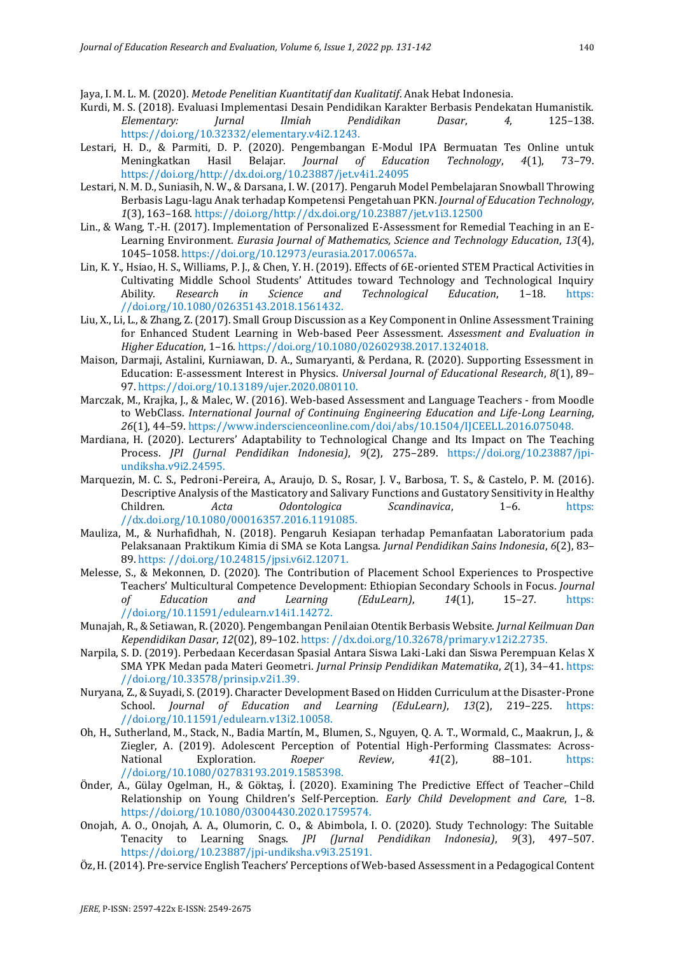Jaya, I. M. L. M. (2020). *Metode Penelitian Kuantitatif dan Kualitatif*. Anak Hebat Indonesia.

- Kurdi, M. S. (2018). Evaluasi Implementasi Desain Pendidikan Karakter Berbasis Pendekatan Humanistik. *Elementary: Jurnal Ilmiah Pendidikan Dasar*, *4*, 125–138. https://doi.org/10.32332/elementary.v4i2.1243.
- Lestari, H. D., & Parmiti, D. P. (2020). Pengembangan E-Modul IPA Bermuatan Tes Online untuk Meningkatkan Hasil Belajar. *Journal of Education Technology*, *4*(1), 73–79. https://doi.org/http://dx.doi.org/10.23887/jet.v4i1.24095
- Lestari, N. M. D., Suniasih, N. W., & Darsana, I. W. (2017). Pengaruh Model Pembelajaran Snowball Throwing Berbasis Lagu-lagu Anak terhadap Kompetensi Pengetahuan PKN. *Journal of Education Technology*, *1*(3), 163–168. https://doi.org/http://dx.doi.org/10.23887/jet.v1i3.12500
- Lin., & Wang, T.-H. (2017). Implementation of Personalized E-Assessment for Remedial Teaching in an E-Learning Environment. *Eurasia Journal of Mathematics, Science and Technology Education*, *13*(4), 1045–1058. https://doi.org/10.12973/eurasia.2017.00657a.
- Lin, K. Y., Hsiao, H. S., Williams, P. J., & Chen, Y. H. (2019). Effects of 6E-oriented STEM Practical Activities in Cultivating Middle School Students' Attitudes toward Technology and Technological Inquiry Ability. *Research in Science and Technological Education*, 1–18. https: //doi.org/10.1080/02635143.2018.1561432.
- Liu, X., Li, L., & Zhang, Z. (2017). Small Group Discussion as a Key Component in Online Assessment Training for Enhanced Student Learning in Web-based Peer Assessment. *Assessment and Evaluation in Higher Education*, 1–16. https://doi.org/10.1080/02602938.2017.1324018.
- Maison, Darmaji, Astalini, Kurniawan, D. A., Sumaryanti, & Perdana, R. (2020). Supporting Essessment in Education: E-assessment Interest in Physics. *Universal Journal of Educational Research*, *8*(1), 89– 97. https://doi.org/10.13189/ujer.2020.080110.
- Marczak, M., Krajka, J., & Malec, W. (2016). Web-based Assessment and Language Teachers from Moodle to WebClass. *International Journal of Continuing Engineering Education and Life-Long Learning*, *26*(1), 44–59. https://www.inderscienceonline.com/doi/abs/10.1504/IJCEELL.2016.075048.
- Mardiana, H. (2020). Lecturers' Adaptability to Technological Change and Its Impact on The Teaching Process. *JPI (Jurnal Pendidikan Indonesia)*, *9*(2), 275–289. https://doi.org/10.23887/jpiundiksha.v9i2.24595.
- Marquezin, M. C. S., Pedroni-Pereira, A., Araujo, D. S., Rosar, J. V., Barbosa, T. S., & Castelo, P. M. (2016). Descriptive Analysis of the Masticatory and Salivary Functions and Gustatory Sensitivity in Healthy Children. *Acta Odontologica Scandinavica*, 1–6. https: //dx.doi.org/10.1080/00016357.2016.1191085.
- Mauliza, M., & Nurhafidhah, N. (2018). Pengaruh Kesiapan terhadap Pemanfaatan Laboratorium pada Pelaksanaan Praktikum Kimia di SMA se Kota Langsa. *Jurnal Pendidikan Sains Indonesia*, *6*(2), 83– 89. https: //doi.org/10.24815/jpsi.v6i2.12071.
- Melesse, S., & Mekonnen, D. (2020). The Contribution of Placement School Experiences to Prospective Teachers' Multicultural Competence Development: Ethiopian Secondary Schools in Focus. *Journal of Education and Learning (EduLearn)*, *14*(1), 15–27. https: //doi.org/10.11591/edulearn.v14i1.14272.
- Munajah, R., & Setiawan, R. (2020). Pengembangan Penilaian Otentik Berbasis Website. *Jurnal Keilmuan Dan Kependidikan Dasar*, *12*(02), 89–102. https: //dx.doi.org/10.32678/primary.v12i2.2735.
- Narpila, S. D. (2019). Perbedaan Kecerdasan Spasial Antara Siswa Laki-Laki dan Siswa Perempuan Kelas X SMA YPK Medan pada Materi Geometri. *Jurnal Prinsip Pendidikan Matematika*, *2*(1), 34–41. https: //doi.org/10.33578/prinsip.v2i1.39.
- Nuryana, Z., & Suyadi, S. (2019). Character Development Based on Hidden Curriculum at the Disaster-Prone School. *Journal of Education and Learning (EduLearn)*, *13*(2), 219–225. https: //doi.org/10.11591/edulearn.v13i2.10058.
- Oh, H., Sutherland, M., Stack, N., Badia Martín, M., Blumen, S., Nguyen, Q. A. T., Wormald, C., Maakrun, J., & Ziegler, A. (2019). Adolescent Perception of Potential High-Performing Classmates: Across-National Exploration. *Roeper Review*, *41*(2), 88–101. https: //doi.org/10.1080/02783193.2019.1585398.
- Önder, A., Gülay Ogelman, H., & Göktaş, İ. (2020). Examining The Predictive Effect of Teacher–Child Relationship on Young Children's Self-Perception. *Early Child Development and Care*, 1–8. https://doi.org/10.1080/03004430.2020.1759574.
- Onojah, A. O., Onojah, A. A., Olumorin, C. O., & Abimbola, I. O. (2020). Study Technology: The Suitable Tenacity to Learning Snags. *JPI (Jurnal Pendidikan Indonesia)*, *9*(3), 497–507. https://doi.org/10.23887/jpi-undiksha.v9i3.25191.
- Öz, H. (2014). Pre-service English Teachers' Perceptions of Web-based Assessment in a Pedagogical Content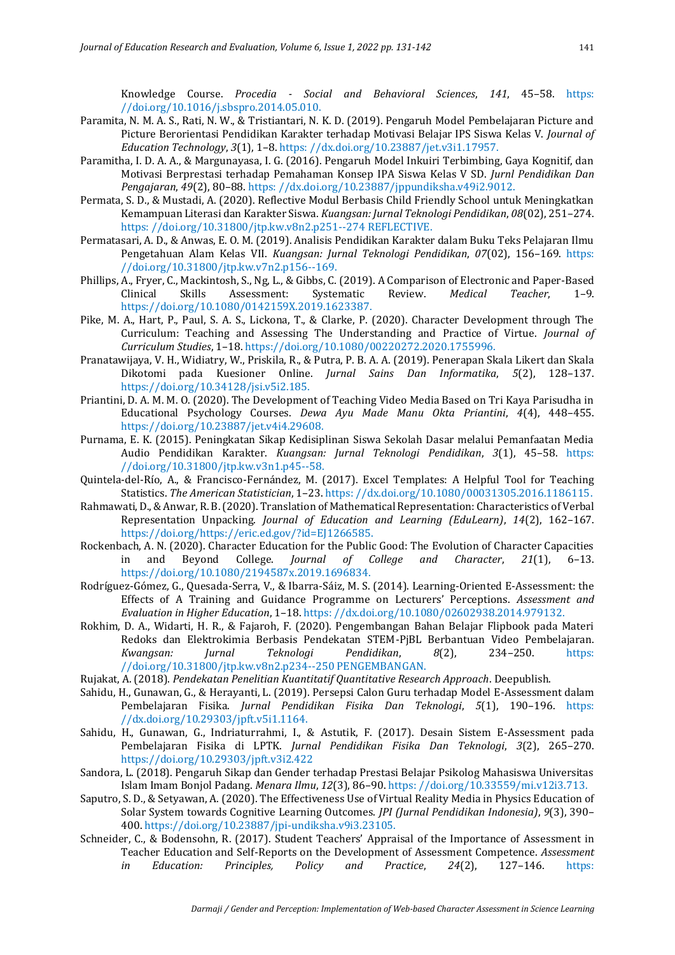Knowledge Course. *Procedia - Social and Behavioral Sciences*, *141*, 45–58. https: //doi.org/10.1016/j.sbspro.2014.05.010.

- Paramita, N. M. A. S., Rati, N. W., & Tristiantari, N. K. D. (2019). Pengaruh Model Pembelajaran Picture and Picture Berorientasi Pendidikan Karakter terhadap Motivasi Belajar IPS Siswa Kelas V. *Journal of Education Technology*, *3*(1), 1–8. https: //dx.doi.org/10.23887/jet.v3i1.17957.
- Paramitha, I. D. A. A., & Margunayasa, I. G. (2016). Pengaruh Model Inkuiri Terbimbing, Gaya Kognitif, dan Motivasi Berprestasi terhadap Pemahaman Konsep IPA Siswa Kelas V SD. *Jurnl Pendidikan Dan Pengajaran*, *49*(2), 80–88. https: //dx.doi.org/10.23887/jppundiksha.v49i2.9012.
- Permata, S. D., & Mustadi, A. (2020). Reflective Modul Berbasis Child Friendly School untuk Meningkatkan Kemampuan Literasi dan Karakter Siswa. *Kuangsan: Jurnal Teknologi Pendidikan*, *08*(02), 251–274. https: //doi.org/10.31800/jtp.kw.v8n2.p251--274 REFLECTIVE.
- Permatasari, A. D., & Anwas, E. O. M. (2019). Analisis Pendidikan Karakter dalam Buku Teks Pelajaran Ilmu Pengetahuan Alam Kelas VII. *Kuangsan: Jurnal Teknologi Pendidikan*, *07*(02), 156–169. https: //doi.org/10.31800/jtp.kw.v7n2.p156--169.
- Phillips, A., Fryer, C., Mackintosh, S., Ng, L., & Gibbs, C. (2019). A Comparison of Electronic and Paper-Based Clinical Skills Assessment: Systematic Review. *Medical Teacher*, 1–9. https://doi.org/10.1080/0142159X.2019.1623387.
- Pike, M. A., Hart, P., Paul, S. A. S., Lickona, T., & Clarke, P. (2020). Character Development through The Curriculum: Teaching and Assessing The Understanding and Practice of Virtue. *Journal of Curriculum Studies*, 1–18. https://doi.org/10.1080/00220272.2020.1755996.
- Pranatawijaya, V. H., Widiatry, W., Priskila, R., & Putra, P. B. A. A. (2019). Penerapan Skala Likert dan Skala Dikotomi pada Kuesioner Online. *Jurnal Sains Dan Informatika*, *5*(2), 128–137. https://doi.org/10.34128/jsi.v5i2.185.
- Priantini, D. A. M. M. O. (2020). The Development of Teaching Video Media Based on Tri Kaya Parisudha in Educational Psychology Courses. *Dewa Ayu Made Manu Okta Priantini*, *4*(4), 448–455. https://doi.org/10.23887/jet.v4i4.29608.
- Purnama, E. K. (2015). Peningkatan Sikap Kedisiplinan Siswa Sekolah Dasar melalui Pemanfaatan Media Audio Pendidikan Karakter. *Kuangsan: Jurnal Teknologi Pendidikan*, *3*(1), 45–58. https: //doi.org/10.31800/jtp.kw.v3n1.p45--58.
- Quintela-del-Río, A., & Francisco-Fernández, M. (2017). Excel Templates: A Helpful Tool for Teaching Statistics. *The American Statistician*, 1–23. https: //dx.doi.org/10.1080/00031305.2016.1186115.
- Rahmawati, D., & Anwar, R. B. (2020). Translation of Mathematical Representation: Characteristics of Verbal Representation Unpacking. *Journal of Education and Learning (EduLearn)*, *14*(2), 162–167. https://doi.org/https://eric.ed.gov/?id=EJ1266585.
- Rockenbach, A. N. (2020). Character Education for the Public Good: The Evolution of Character Capacities in and Beyond College. *Journal of College and Character*, *21*(1), 6–13. https://doi.org/10.1080/2194587x.2019.1696834.
- Rodríguez-Gómez, G., Quesada-Serra, V., & Ibarra-Sáiz, M. S. (2014). Learning-Oriented E-Assessment: the Effects of A Training and Guidance Programme on Lecturers' Perceptions. *Assessment and Evaluation in Higher Education*, 1–18. https: //dx.doi.org/10.1080/02602938.2014.979132.
- Rokhim, D. A., Widarti, H. R., & Fajaroh, F. (2020). Pengembangan Bahan Belajar Flipbook pada Materi Redoks dan Elektrokimia Berbasis Pendekatan STEM-PjBL Berbantuan Video Pembelajaran. *Kwangsan: Jurnal Teknologi Pendidikan*, *8*(2), 234–250. https: //doi.org/10.31800/jtp.kw.v8n2.p234--250 PENGEMBANGAN.
- Rujakat, A. (2018). *Pendekatan Penelitian Kuantitatif Quantitative Research Approach*. Deepublish.
- Sahidu, H., Gunawan, G., & Herayanti, L. (2019). Persepsi Calon Guru terhadap Model E-Assessment dalam Pembelajaran Fisika. *Jurnal Pendidikan Fisika Dan Teknologi*, *5*(1), 190–196. https: //dx.doi.org/10.29303/jpft.v5i1.1164.
- Sahidu, H., Gunawan, G., Indriaturrahmi, I., & Astutik, F. (2017). Desain Sistem E-Assessment pada Pembelajaran Fisika di LPTK. *Jurnal Pendidikan Fisika Dan Teknologi*, *3*(2), 265–270. https://doi.org/10.29303/jpft.v3i2.422
- Sandora, L. (2018). Pengaruh Sikap dan Gender terhadap Prestasi Belajar Psikolog Mahasiswa Universitas Islam Imam Bonjol Padang. *Menara Ilmu*, *12*(3), 86–90. https: //doi.org/10.33559/mi.v12i3.713.
- Saputro, S. D., & Setyawan, A. (2020). The Effectiveness Use of Virtual Reality Media in Physics Education of Solar System towards Cognitive Learning Outcomes. *JPI (Jurnal Pendidikan Indonesia)*, *9*(3), 390– 400. https://doi.org/10.23887/jpi-undiksha.v9i3.23105.
- Schneider, C., & Bodensohn, R. (2017). Student Teachers' Appraisal of the Importance of Assessment in Teacher Education and Self-Reports on the Development of Assessment Competence. *Assessment in Education: Principles, Policy and Practice*, *24*(2), 127–146. https: